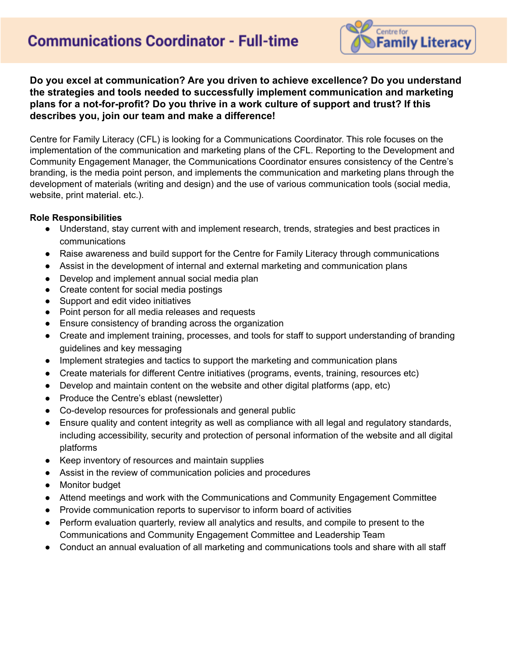# **Communications Coordinator - Full-time**



**Do you excel at communication? Are you driven to achieve excellence? Do you understand the strategies and tools needed to successfully implement communication and marketing plans for a not-for-profit? Do you thrive in a work culture of support and trust? If this describes you, join our team and make a difference!**

Centre for Family Literacy (CFL) is looking for a Communications Coordinator. This role focuses on the implementation of the communication and marketing plans of the CFL. Reporting to the Development and Community Engagement Manager, the Communications Coordinator ensures consistency of the Centre's branding, is the media point person, and implements the communication and marketing plans through the development of materials (writing and design) and the use of various communication tools (social media, website, print material. etc.).

#### **Role Responsibilities**

- Understand, stay current with and implement research, trends, strategies and best practices in communications
- Raise awareness and build support for the Centre for Family Literacy through communications
- Assist in the development of internal and external marketing and communication plans
- Develop and implement annual social media plan
- Create content for social media postings
- Support and edit video initiatives
- Point person for all media releases and requests
- Ensure consistency of branding across the organization
- Create and implement training, processes, and tools for staff to support understanding of branding guidelines and key messaging
- Implement strategies and tactics to support the marketing and communication plans
- Create materials for different Centre initiatives (programs, events, training, resources etc)
- Develop and maintain content on the website and other digital platforms (app, etc)
- Produce the Centre's eblast (newsletter)
- Co-develop resources for professionals and general public
- Ensure quality and content integrity as well as compliance with all legal and regulatory standards, including accessibility, security and protection of personal information of the website and all digital platforms
- Keep inventory of resources and maintain supplies
- Assist in the review of communication policies and procedures
- Monitor budget
- Attend meetings and work with the Communications and Community Engagement Committee
- Provide communication reports to supervisor to inform board of activities
- Perform evaluation quarterly, review all analytics and results, and compile to present to the Communications and Community Engagement Committee and Leadership Team
- Conduct an annual evaluation of all marketing and communications tools and share with all staff